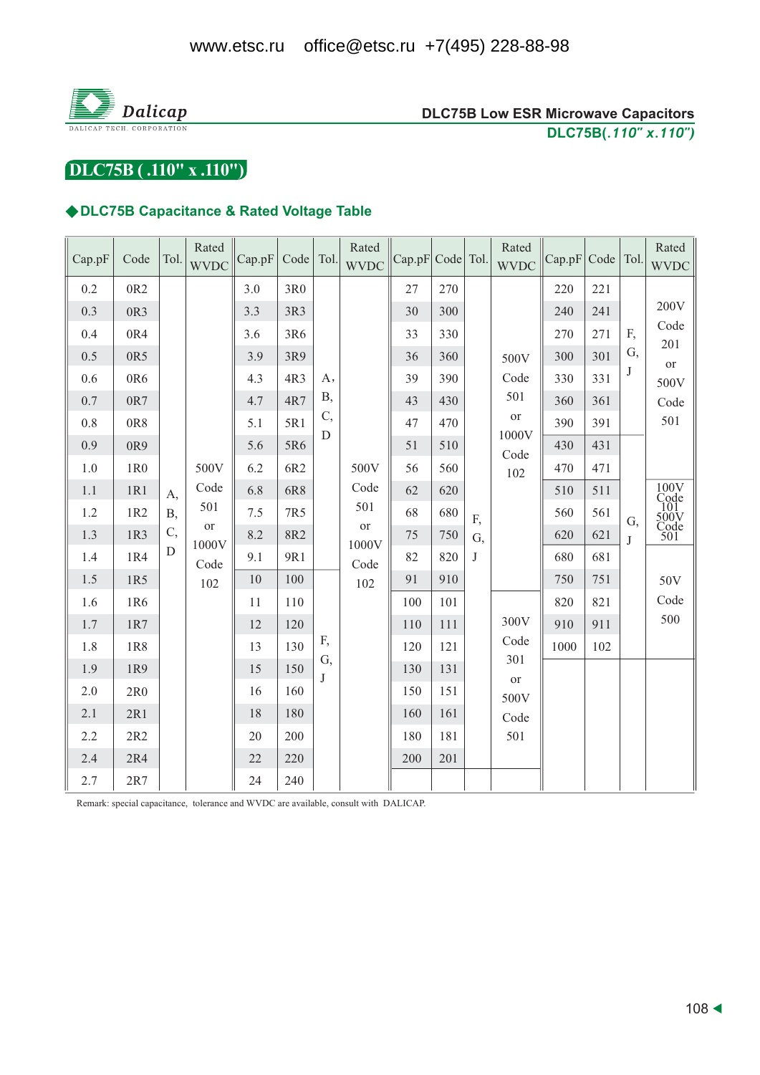

DLC75B (.110" x .110")

# ◆DLC75B Capacitance & Rated Voltage Table

| Cap.pF  | Code            | Tol.        | Rated<br><b>WVDC</b>               | Cap.pF | Code   Tol. |                  | Rated<br><b>WVDC</b>                              | Cap.pF Code Tol. |     |             | Rated<br><b>WVDC</b>      | Cap.pF | Code   Tol. |                    | Rated<br><b>WVDC</b>                       |
|---------|-----------------|-------------|------------------------------------|--------|-------------|------------------|---------------------------------------------------|------------------|-----|-------------|---------------------------|--------|-------------|--------------------|--------------------------------------------|
| 0.2     | 0R <sub>2</sub> |             |                                    | 3.0    | 3R0         |                  | 27                                                | 270              |     |             | 220                       | 221    |             |                    |                                            |
| 0.3     | 0R3             |             |                                    | 3.3    | 3R3         |                  |                                                   | 30               | 300 |             |                           | 240    | 241         |                    | 200V                                       |
| 0.4     | 0R4             |             |                                    | 3.6    | 3R6         |                  |                                                   | 33               | 330 |             |                           | 270    | 271         | F,                 | Code<br>201                                |
| 0.5     | 0R5             |             |                                    | 3.9    | 3R9         |                  |                                                   | 36               | 360 |             | 500V<br>Code<br>501       | 300    | 301         | G,<br>$\mathbf{J}$ | or<br>500V<br>Code                         |
| 0.6     | 0R6             |             |                                    | 4.3    | 4R3         | A,<br><b>B</b> , |                                                   | 39               | 390 |             |                           | 330    | 331         |                    |                                            |
| 0.7     | 0R7             |             |                                    | 4.7    | 4R7         |                  |                                                   | 43               | 430 |             |                           | 360    | 361         |                    |                                            |
| 0.8     | 0R8             |             |                                    | 5.1    | 5R1         | C,<br>D          |                                                   | 47               | 470 |             | $\hbox{or}$<br>1000V      | 390    | 391         |                    | 501                                        |
| 0.9     | 0R9             |             |                                    | 5.6    | 5R6         |                  |                                                   | 51               | 510 |             | Code                      | 430    | 431         |                    |                                            |
| 1.0     | 1R <sub>0</sub> |             | 500V                               | 6.2    | 6R2         |                  | 500V<br>Code<br>501<br>or<br>1000V<br>Code<br>102 | 56               | 560 |             | 102<br>300V               | 470    | 471         | G,<br>J            |                                            |
| 1.1     | 1R1             | A,          | Code<br>501<br>or<br>1000V<br>Code | 6.8    | 6R8         |                  |                                                   | 62               | 620 |             |                           | 510    | 511         |                    | 100V<br>Code<br>101<br>500V<br>Code<br>501 |
| 1.2     | 1R2             | <b>B</b> ,  |                                    | 7.5    | 7R5         |                  |                                                   | 68               | 680 | F,          |                           | 560    | 561         |                    |                                            |
| 1.3     | 1R3             | C,          |                                    | 8.2    | 8R2         |                  |                                                   | 75               | 750 | G,          |                           | 620    | 621         |                    |                                            |
| 1.4     | 1R4             | $\mathbf D$ |                                    | 9.1    | 9R1         |                  |                                                   | 82               | 820 | J           |                           | 680    | 681         |                    |                                            |
| 1.5     | 1R5             |             | 102                                | 10     | 100         |                  |                                                   | 91               | 910 |             |                           | 750    | 751         |                    | 50V                                        |
| 1.6     | 1R6             |             |                                    | 11     | 110         |                  |                                                   | 100              | 101 |             |                           | 820    | 821         |                    | Code                                       |
| 1.7     | 1R7             |             |                                    | 12     | 120         |                  |                                                   | 110              | 111 |             |                           | 910    | 911         |                    | 500                                        |
| 1.8     | 1R8             |             |                                    | 13     | F,<br>130   | G,               | 120                                               | 121              |     | Code<br>301 | 1000                      | 102    |             |                    |                                            |
| 1.9     | 1R9             |             |                                    | 15     | 150         | J                |                                                   | 130              | 131 |             | or<br>500V<br>Code<br>501 |        |             |                    |                                            |
| $2.0\,$ | 2R0             |             |                                    | 16     | 160         |                  |                                                   | 150              | 151 |             |                           |        |             |                    |                                            |
| 2.1     | 2R1             |             |                                    | 18     | 180         |                  |                                                   | 160              | 161 |             |                           |        |             |                    |                                            |
| 2.2     | 2R2             |             |                                    | 20     | 200         |                  |                                                   | 180              | 181 |             |                           |        |             |                    |                                            |
| 2.4     | 2R4             |             |                                    | 22     | 220         |                  |                                                   | 200              | 201 |             |                           |        |             |                    |                                            |
| 2.7     | 2R7             |             |                                    | 24     | 240         |                  |                                                   |                  |     |             |                           |        |             |                    |                                            |

Remark: special capacitance, tolerance and WVDC are available, consult with DALICAP.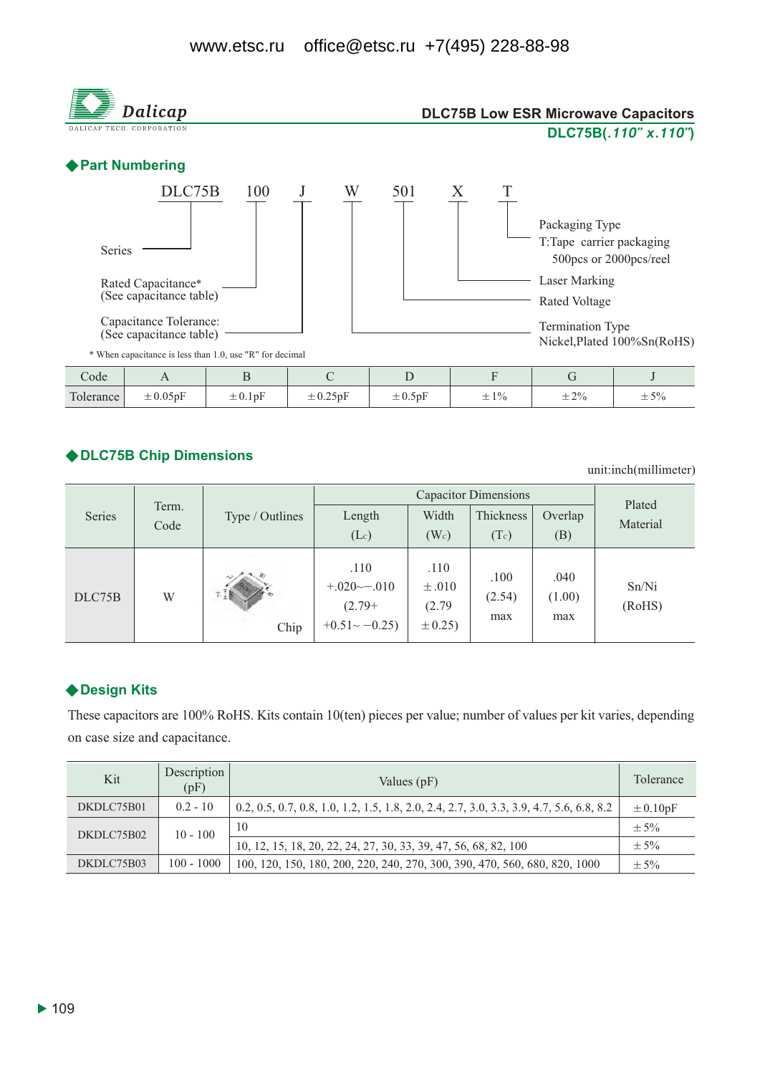

### ◆DLC75B Chip Dimensions

unit:inch(millimeter)

|        |               |                 |                                                                    | Plated                                     |                       |                       |                 |  |
|--------|---------------|-----------------|--------------------------------------------------------------------|--------------------------------------------|-----------------------|-----------------------|-----------------|--|
| Series | Term.<br>Code | Type / Outlines | Length<br>$(L_c)$                                                  | Width<br>(W <sub>c</sub> )                 | Thickness<br>(Tc)     | Overlap<br>(B)        | Material        |  |
| DLC75B | W             | Chip            | .110<br>$+.020 \rightarrow -.010$<br>$(2.79+$<br>$+0.51$ $-0.25$ ) | .110<br>$\pm .010$<br>(2.79)<br>$\pm 0.25$ | .100<br>(2.54)<br>max | .040<br>(1.00)<br>max | Sn/Ni<br>(RoHS) |  |

### ◆ Design Kits

These capacitors are 100% RoHS. Kits contain 10(ten) pieces per value; number of values per kit varies, depending on case size and capacitance.

| Kit        | Description<br>(pF) | Values $(pF)$                                                                            | <b>Tolerance</b> |
|------------|---------------------|------------------------------------------------------------------------------------------|------------------|
| DKDLC75B01 | $0.2 - 10$          | 0.2, 0.5, 0.7, 0.8, 1.0, 1.2, 1.5, 1.8, 2.0, 2.4, 2.7, 3.0, 3.3, 3.9, 4.7, 5.6, 6.8, 8.2 | $\pm 0.10pF$     |
| DKDLC75B02 | $10 - 100$          | 10                                                                                       | $+5%$            |
|            |                     | 10, 12, 15, 18, 20, 22, 24, 27, 30, 33, 39, 47, 56, 68, 82, 100                          | $\pm$ 5%         |
| DKDLC75B03 | $100 - 1000$        | 100, 120, 150, 180, 200, 220, 240, 270, 300, 390, 470, 560, 680, 820, 1000               | $+5%$            |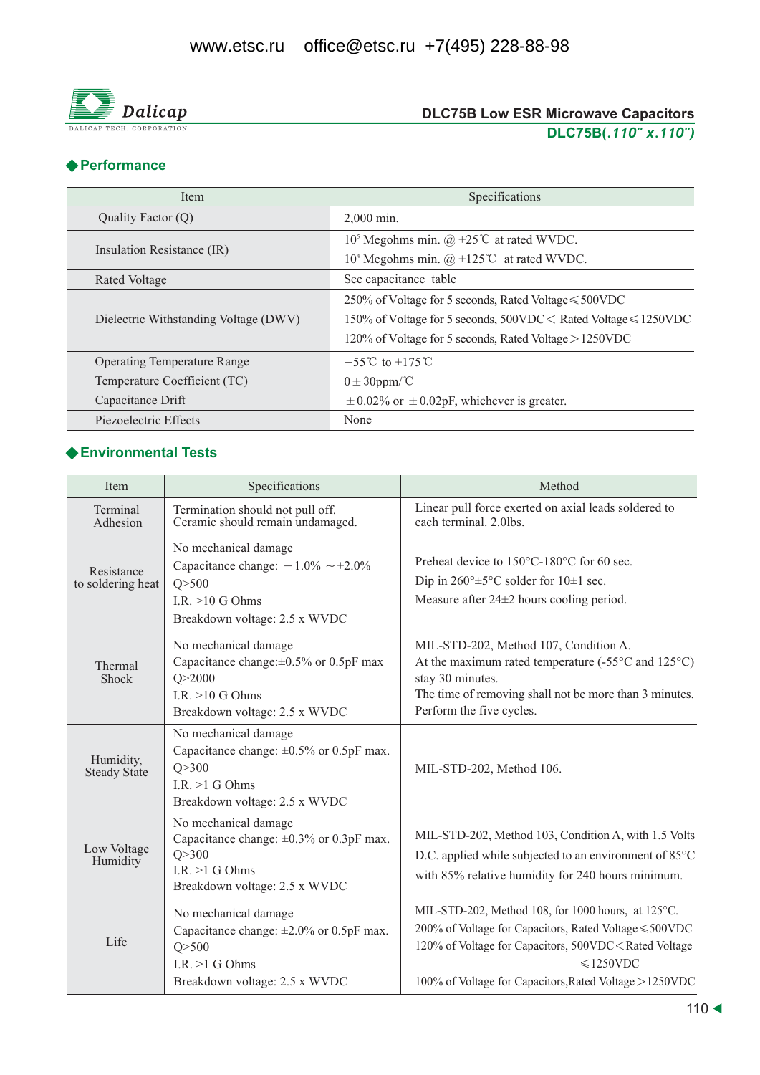

## ◆ Performance

| Item                                  | Specifications                                                             |  |  |  |  |
|---------------------------------------|----------------------------------------------------------------------------|--|--|--|--|
| Quality Factor (Q)                    | 2,000 min.                                                                 |  |  |  |  |
|                                       | 10 <sup>5</sup> Megohms min. $(\hat{\omega}, +25^{\circ}C)$ at rated WVDC. |  |  |  |  |
| Insulation Resistance (IR)            | 10 <sup>4</sup> Megohms min. $@ + 125$ °C at rated WVDC.                   |  |  |  |  |
| Rated Voltage                         | See capacitance table                                                      |  |  |  |  |
|                                       | 250% of Voltage for 5 seconds, Rated Voltage ≤ 500VDC                      |  |  |  |  |
| Dielectric Withstanding Voltage (DWV) | 150% of Voltage for 5 seconds, 500VDC < Rated Voltage ≤ 1250VDC            |  |  |  |  |
|                                       | 120% of Voltage for 5 seconds, Rated Voltage $>$ 1250VDC                   |  |  |  |  |
| <b>Operating Temperature Range</b>    | $-55^{\circ}$ C to $+175^{\circ}$ C                                        |  |  |  |  |
| Temperature Coefficient (TC)          | $0 \pm 30$ ppm/°C                                                          |  |  |  |  |
| Capacitance Drift                     | $\pm$ 0.02% or $\pm$ 0.02pF, whichever is greater.                         |  |  |  |  |
| Piezoelectric Effects                 | None                                                                       |  |  |  |  |

# ◆ Environmental Tests

| Item                             | Specifications                                                                                                                         | Method                                                                                                                                                                                                                                                                       |
|----------------------------------|----------------------------------------------------------------------------------------------------------------------------------------|------------------------------------------------------------------------------------------------------------------------------------------------------------------------------------------------------------------------------------------------------------------------------|
| Terminal<br>Adhesion             | Termination should not pull off.<br>Ceramic should remain undamaged.                                                                   | Linear pull force exerted on axial leads soldered to<br>each terminal. 2.0lbs.                                                                                                                                                                                               |
| Resistance<br>to soldering heat  | No mechanical damage<br>Capacitance change: $-1.0\% \sim +2.0\%$<br>Q > 500<br>$LR \geq 10$ G Ohms<br>Breakdown voltage: 2.5 x WVDC    | Preheat device to 150°C-180°C for 60 sec.<br>Dip in $260^{\circ} \pm 5^{\circ}$ C solder for $10 \pm 1$ sec.<br>Measure after $24\pm 2$ hours cooling period.                                                                                                                |
| Thermal<br>Shock                 | No mechanical damage<br>Capacitance change: ±0.5% or 0.5pF max<br>Q > 2000<br>I.R. $>10$ G Ohms<br>Breakdown voltage: 2.5 x WVDC       | MIL-STD-202, Method 107, Condition A.<br>At the maximum rated temperature $(-55^{\circ}$ C and $125^{\circ}$ C)<br>stay 30 minutes.<br>The time of removing shall not be more than 3 minutes.<br>Perform the five cycles.                                                    |
| Humidity,<br><b>Steady State</b> | No mechanical damage<br>Capacitance change: $\pm 0.5\%$ or 0.5pF max.<br>Q > 300<br>I.R. $>1$ G Ohms<br>Breakdown voltage: 2.5 x WVDC  | MIL-STD-202, Method 106.                                                                                                                                                                                                                                                     |
| Low Voltage<br>Humidity          | No mechanical damage<br>Capacitance change: $\pm 0.3\%$ or 0.3pF max.<br>Q > 300<br>I.R. $>1$ G Ohms<br>Breakdown voltage: 2.5 x WVDC  | MIL-STD-202, Method 103, Condition A, with 1.5 Volts<br>D.C. applied while subjected to an environment of 85°C<br>with 85% relative humidity for 240 hours minimum.                                                                                                          |
| Life                             | No mechanical damage<br>Capacitance change: $\pm 2.0\%$ or 0.5pF max.<br>Q > 500<br>$I.R. > 1$ G Ohms<br>Breakdown voltage: 2.5 x WVDC | MIL-STD-202, Method 108, for 1000 hours, at 125 °C.<br>200% of Voltage for Capacitors, Rated Voltage ≤500VDC<br>120% of Voltage for Capacitors, 500VDC <rated voltage<br=""><math>\leq 1250</math>VDC<br/>100% of Voltage for Capacitors, Rated Voltage &gt; 1250VDC</rated> |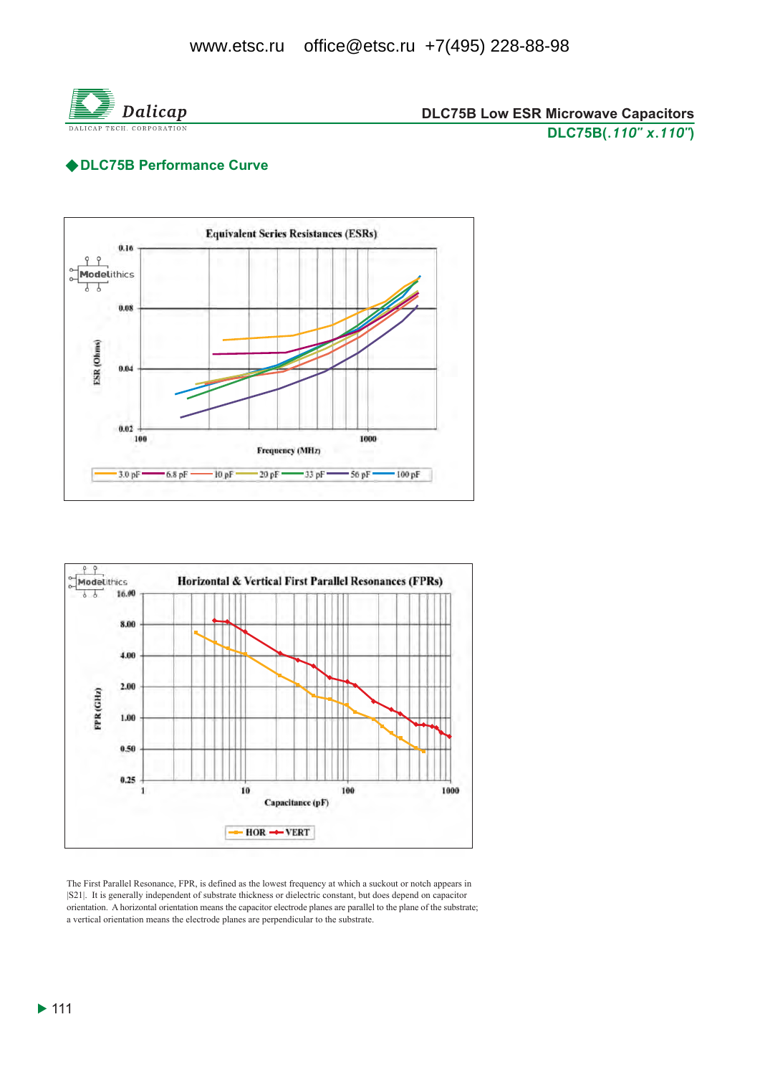

### ◆DLC75B Performance Curve





The First Parallel Resonance, FPR, is defined as the lowest frequency at which a suckout or notch appears in [S21]. It is generally independent of substrate thickness or dielectric constant, but does depend on capacitor orientation. A horizontal orientation means the capacitor electrode planes are parallel to the plane of the substrate; a vertical orientation means the electrode planes are perpendicular to the substrate.